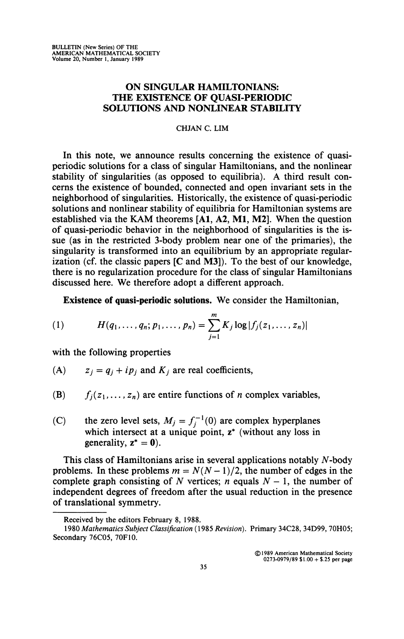## **ON SINGULAR HAMILTONIANS: THE EXISTENCE OF QUASI-PERIODIC SOLUTIONS AND NONLINEAR STABILITY**

## **CHJAN C. LIM**

**In** this note, we announce results concerning the existence of quasiperiodic solutions for a class of singular Hamiltonians, and the nonlinear stability of singularities (as opposed to equilibria). A third result concerns the existence of bounded, connected and open invariant sets in the neighborhood of singularities. Historically, the existence of quasi-periodic solutions and nonlinear stability of equilibria for Hamiltonian systems are established via the KAM theorems **[Al,** A2, Ml, M2]. When the question of quasi-periodic behavior in the neighborhood of singularities is the issue (as in the restricted 3-body problem near one of the primaries), the singularity is transformed into an equilibrium by an appropriate regularization (cf. the classic papers  $[C$  and M3]). To the best of our knowledge, there is no regularization procedure for the class of singular Hamiltonians discussed here. We therefore adopt a different approach.

**Existence of quasi-periodic solutions.** We consider the Hamiltonian,

(1) 
$$
H(q_1,...,q_n;p_1,...,p_n)=\sum_{j=1}^m K_j \log |f_j(z_1,...,z_n)|
$$

with the following properties

- (A)  $z_j = q_j + ip_j$  and  $K_j$  are real coefficients,
- (B)  $f_i(z_1,..., z_n)$  are entire functions of *n* complex variables,
- (C) the zero level sets,  $M_j = f_j^{-1}(0)$  are complex hyperplanes which intersect at a unique point,  $z^*$  (without any loss in generality,  $z^* = 0$ ).

This class of Hamiltonians arise in several applications notably  $N$ -body problems. In these problems  $m = N(N-1)/2$ , the number of edges in the complete graph consisting of N vertices;  $n$  equals  $N-1$ , the number of independent degrees of freedom after the usual reduction in the presence of translational symmetry.

**© 1989 American Mathematical Society 0273-0979/89 \$1.00 + \$.25 per page** 

**Received by the editors February 8, 1988.** 

**<sup>1980</sup>** *Mathematics Subject Classification* **(1985** *Revision).* **Primary 34C28, 34D99, 70H05; Secondary 76C05, 70F10.**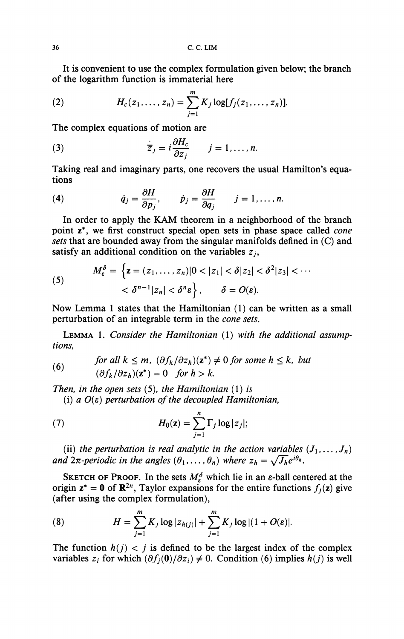It is convenient to use the complex formulation given below; the branch of the logarithm function is immaterial here

(2) 
$$
H_c(z_1,..., z_n) = \sum_{j=1}^m K_j \log[f_j(z_1,..., z_n)].
$$

The complex equations of motion are

(3) 
$$
\overline{z}_j = i \frac{\partial H_c}{\partial z_j} \qquad j = 1, ..., n.
$$

Taking real and imaginary parts, one recovers the usual Hamilton's equations

(4) 
$$
\dot{q}_j = \frac{\partial H}{\partial p_j}, \qquad \dot{p}_j = \frac{\partial H}{\partial q_j} \qquad j = 1, ..., n.
$$

In order to apply the KAM theorem in a neighborhood of the branch point z\*, we first construct special open sets in phase space called *cone sets* that are bounded away from the singular manifolds defined in (C) and satisfy an additional condition on the variables  $z_i$ ,

(5) 
$$
M_{\varepsilon}^{\delta} = \left\{ \mathbf{z} = (z_1, \dots, z_n) |0 < |z_1| < \delta |z_2| < \delta^2 |z_3| < \cdots \right\} < \delta^{n-1} |z_n| < \delta^n \varepsilon \right\}, \quad \delta = O(\varepsilon).
$$

Now Lemma 1 states that the Hamiltonian (1) can be written as a small perturbation of an integrable term in the *cone sets.* 

LEMMA 1. *Consider the Hamiltonian* (1) *with the additional assumptions,* 

(6) *for all* 
$$
k \le m
$$
,  $(\partial f_k / \partial z_h)(z^*) \ne 0$  *for some*  $h \le k$ , *but*  $(\partial f_k / \partial z_h)(z^*) = 0$  *for*  $h > k$ .

*Then, in the open sets* (5), *the Hamiltonian* (1) *is* 

(i) *a O(e) perturbation of the decoupled Hamiltonian,* 

(7) 
$$
H_0(\mathbf{z}) = \sum_{j=1}^n \Gamma_j \log |z_j|;
$$

(ii) the perturbation is real analytic in the action variables  $(J_1, \ldots, J_n)$ *and*  $2\pi$ -periodic in the angles  $(\theta_1, \ldots, \theta_n)$  where  $z_h = \sqrt{J_h}e^{i\theta_h}$ .

SKETCH OF PROOF. In the sets  $M_{\varepsilon}^{\delta}$  which lie in an  $\varepsilon$ -ball centered at the origin  $z^* = 0$  of  $\mathbb{R}^{2n}$ , Taylor expansions for the entire functions  $f_i(z)$  give (after using the complex formulation),

(8) 
$$
H = \sum_{j=1}^{m} K_j \log |z_{h(j)}| + \sum_{j=1}^{m} K_j \log |(1 + O(\varepsilon)|).
$$

The function  $h(j) < j$  is defined to be the largest index of the complex variables  $z_i$  for which  $(\partial f_j(0)/\partial z_i) \neq 0$ . Condition (6) implies  $h(j)$  is well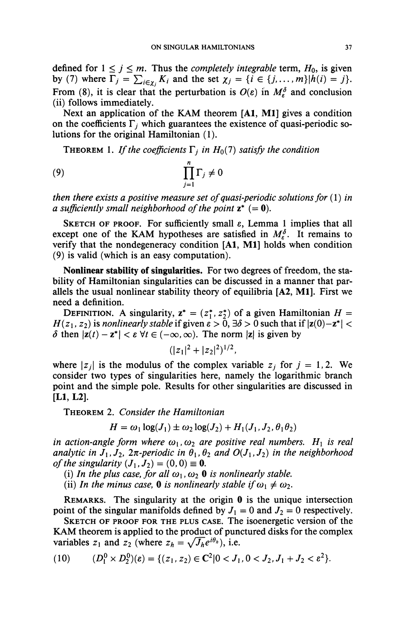defined for  $1 \le j \le m$ . Thus the *completely integrable* term,  $H_0$ , is given by (7) where  $\Gamma_j = \sum_{i \in \chi_j} K_i$  and the set  $\chi_j = \{i \in \{j, ..., m\} | h(i) = j\}.$ From (8), it is clear that the perturbation is  $O(\varepsilon)$  in  $M_{\varepsilon}^{\delta}$  and conclusion (ii) follows immediately.

Next an application of the KAM theorem [Al, Ml] gives a condition on the coefficients  $\Gamma_i$  which guarantees the existence of quasi-periodic solutions for the original Hamiltonian (1).

**THEOREM** 1. If the coefficients  $\Gamma_i$  in  $H_0(7)$  satisfy the condition

$$
(9) \hspace{3.1em} \prod_{j=1}^n \Gamma_j \neq 0
$$

*then there exists a positive measure set of quasi-periodic solutions for* (1) *in a sufficiently small neighborhood of the point*  $z^* (= 0)$ .

SKETCH OF PROOF. For sufficiently small *e,* Lemma 1 implies that all except one of the KAM hypotheses are satisfied in  $M_e^{\delta}$ . It remains to verify that the nondegeneracy condition [A1, M1] holds when condition (9) is valid (which is an easy computation).

Nonlinear stability of singularities. For two degrees of freedom, the stability of Hamiltonian singularities can be discussed in a manner that parallels the usual nonlinear stability theory of equilibria [A2, Ml]. First we need a definition.

DEFINITION. A singularity,  $z^* = (z_1^*, z_2^*)$  of a given Hamiltonian  $H =$  $H(z_1, z_2)$  is *nonlinearly stable* if given  $\varepsilon > 0$ ,  $\exists \delta > 0$  such that if  $|z(0)-z^*| <$  $\delta$  then  $|z(t) - z^*| < \varepsilon \ \forall t \in (-\infty, \infty)$ . The norm  $|z|$  is given by

$$
(|z_1|^2+|z_2|^2)^{1/2},
$$

where  $|z_j|$  is the modulus of the complex variable  $z_j$  for  $j = 1, 2$ . We consider two types of singularities here, namely the logarithmic branch point and the simple pole. Results for other singularities are discussed in [LI, L2].

THEOREM 2. *Consider the Hamiltonian* 

$$
H = \omega_1 \log(J_1) \pm \omega_2 \log(J_2) + H_1(J_1, J_2, \theta_1 \theta_2)
$$

*in action-angle form where*  $\omega_1, \omega_2$  *are positive real numbers.*  $H_1$  *is real analytic in*  $J_1, J_2, 2\pi$ -periodic in  $\theta_1, \theta_2$  and  $O(J_1, J_2)$  in the neighborhood *of the singularity*  $(J_1, J_2) = (0, 0) \equiv 0$ .

- (i) In the plus case, for all  $\omega_1, \omega_2$  0 is nonlinearly stable.
- (ii) In the minus case, **0** is nonlinearly stable if  $\omega_1 \neq \omega_2$ .

REMARKS. The singularity at the origin 0 is the unique intersection point of the singular manifolds defined by  $J_1 = 0$  and  $J_2 = 0$  respectively.

SKETCH OF PROOF FOR THE PLUS CASE. The isoenergetic version of the KAM theorem is applied to the product of punctured disks for the complex variables  $z_1$  and  $z_2$  (where  $z_h = \sqrt{J_h}e^{i\theta_h}$ ), i.e.

(10) 
$$
(D_1^0 \times D_2^0)(\varepsilon) = \{ (z_1, z_2) \in \mathbb{C}^2 | 0 < J_1, 0 < J_2, J_1 + J_2 < \varepsilon^2 \}.
$$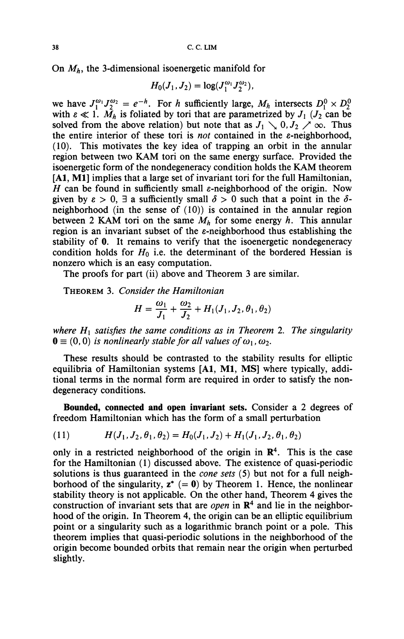On *Mh,* the 3-dimensional isoenergetic manifold for

$$
H_0(J_1,J_2)=\log(J_1^{\omega_1}J_2^{\omega_2}),
$$

we have  $J_1^{\omega_1} J_2^{\omega_2} = e^{-h}$ . For *h* sufficiently large,  $M_h$  intersects  $D_1^0 \times D_2^0$ with  $\varepsilon \ll 1$ .  $\tilde{M}_h$  is foliated by tori that are parametrized by  $J_1$  ( $J_2$  can be solved from the above relation) but note that as  $J_1 \setminus 0, J_2 \nearrow \infty$ . Thus the entire interior of these tori is *not* contained in the  $\varepsilon$ -neighborhood, (10). This motivates the key idea of trapping an orbit in the annular region between two KAM tori on the same energy surface. Provided the isoenergetic form of the nondegeneracy condition holds the KAM theorem **[Al, Ml]** implies that a large set of invariant tori for the full Hamiltonian, *H* can be found in sufficiently small  $\varepsilon$ -neighborhood of the origin. Now given by  $\varepsilon > 0$ ,  $\exists$  a sufficiently small  $\delta > 0$  such that a point in the  $\delta$ neighborhood (in the sense of (10)) is contained in the annular region between 2 KAM tori on the same  $M_h$  for some energy h. This annular region is an invariant subset of the  $\varepsilon$ -neighborhood thus establishing the stability of 0. It remains to verify that the isoenergetic nondegeneracy condition holds for  $H_0$  i.e. the determinant of the bordered Hessian is nonzero which is an easy computation.

The proofs for part (ii) above and Theorem 3 are similar.

THEOREM 3. *Consider the Hamiltonian* 

$$
H = \frac{\omega_1}{J_1} + \frac{\omega_2}{J_2} + H_1(J_1, J_2, \theta_1, \theta_2)
$$

where  $H_1$  satisfies the same conditions as in Theorem 2. The singularity  $\mathbf{0} \equiv (0,0)$  *is nonlinearly stable for all values of*  $\omega_1$ ,  $\omega_2$ .

These results should be contrasted to the stability results for elliptic equilibria of Hamiltonian systems **[Al, Ml, MS]** where typically, additional terms in the normal form are required in order to satisfy the nondegeneracy conditions.

**Bounded, connected and open invariant sets.** Consider a 2 degrees of freedom Hamiltonian which has the form of a small perturbation

(11) 
$$
H(J_1, J_2, \theta_1, \theta_2) = H_0(J_1, J_2) + H_1(J_1, J_2, \theta_1, \theta_2)
$$

only in a restricted neighborhood of the origin in  $\mathbb{R}^4$ . This is the case for the Hamiltonian (1) discussed above. The existence of quasi-periodic solutions is thus guaranteed in the *cone sets* (5) but not for a full neighborhood of the singularity,  $z^* (= 0)$  by Theorem 1. Hence, the nonlinear stability theory is not applicable. On the other hand, Theorem 4 gives the construction of invariant sets that are *open* in  $\mathbb{R}^4$  and lie in the neighborhood of the origin. In Theorem 4, the origin can be an elliptic equilibrium point or a singularity such as a logarithmic branch point or a pole. This theorem implies that quasi-periodic solutions in the neighborhood of the origin become bounded orbits that remain near the origin when perturbed slightly.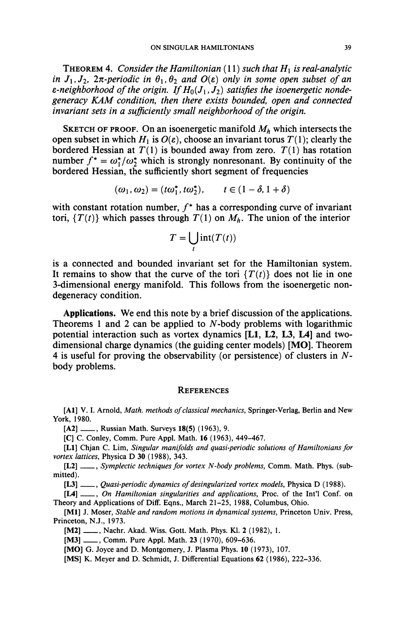**THEOREM 4.** Consider the Hamiltonian (11) such that  $H_1$  is real-analytic *in*  $J_1, J_2, 2\pi$ -periodic in  $\theta_1, \theta_2$  and  $O(\varepsilon)$  only in some open subset of an  $\varepsilon$ -neighborhood of the origin. If  $H_0(J_1,J_2)$  satisfies the isoenergetic nonde*generacy KAM condition, then there exists bounded, open and connected invariant sets in a sufficiently small neighborhood of the origin.* 

SKETCH OF PROOF. On an isoenergetic manifold  $M_h$  which intersects the open subset in which  $H_1$  is  $O(\varepsilon)$ , choose an invariant torus  $T(1)$ ; clearly the bordered Hessian at  $T(1)$  is bounded away from zero.  $T(1)$  has rotation number  $f^* = \omega_1^* / \omega_2^*$  which is strongly nonresonant. By continuity of the bordered Hessian, the sufficiently short segment of frequencies

$$
(\omega_1, \omega_2) = (t\omega_1^*, t\omega_2^*), \qquad t \in (1-\delta, 1+\delta)
$$

with constant rotation number,  $f^*$  has a corresponding curve of invariant tori,  $\{T(t)\}$  which passes through  $T(1)$  on  $M_h$ . The union of the interior

$$
T=\bigcup_t \text{int}(T(t))
$$

is a connected and bounded invariant set for the Hamiltonian system. It remains to show that the curve of the tori  $\{T(t)\}$  does not lie in one 3-dimensional energy manifold. This follows from the isoenergetic nondegeneracy condition.

**Applications.** We end this note by a brief discussion of the applications. Theorems 1 and 2 can be applied to  $N$ -body problems with logarithmic potential interaction such as vortex dynamics **[LI,** L2, L3, **L4]** and twodimensional charge dynamics (the guiding center models) [MO]. Theorem 4 is useful for proving the observability (or persistence) of clusters in *N*body problems.

## **REFERENCES**

**[Al]** V. **I.** Arnold, *Math, methods of classical mechanics,* Springer-Verlag, Berlin and New York, 1980.

**[A2]** , Russian Math. Surveys **18(5)** (1963), 9.

**[C]** C. Conley, Comm. Pure Appl. Math. 16 (1963), 449-467.

**[LI]** Chjan C. Lim, *Singular manifolds and quasi-periodic solutions of Hamiltonians for vortex lattices,* Physica D 30 (1988), 343.

**[L2]** , *Symplectic techniques for vortex N-body problems,* Comm. Math. Phys. (submitted).

**[L3]** , *Quasi-periodic dynamics of desingularized vortex models,* Physica D (1988).

**[L4]** , *On Hamiltonian singularities and applications,* Proc. of the Int'l Conf. on Theory and Applications of Diff. Eqns., March 21-25, 1988, Columbus, Ohio.

**[Ml]** J. Moser, *Stable and random motions in dynamical systems,* Princeton Univ. Press, Princeton, N.J., 1973.

**[M2]** , Nachr. Akad. Wiss. Gott. Math. Phys. Kl. 2 (1982), **1.** 

[M3] .........., Comm. Pure Appl. Math. 23 (1970), 609-636.

**[MO]** G. Joyce and D. Montgomery, J. Plasma Phys. 10 (1973), 107.

[MS] K. Meyer and D. Schmidt, J. Differential Equations 62 (1986), 222-336.